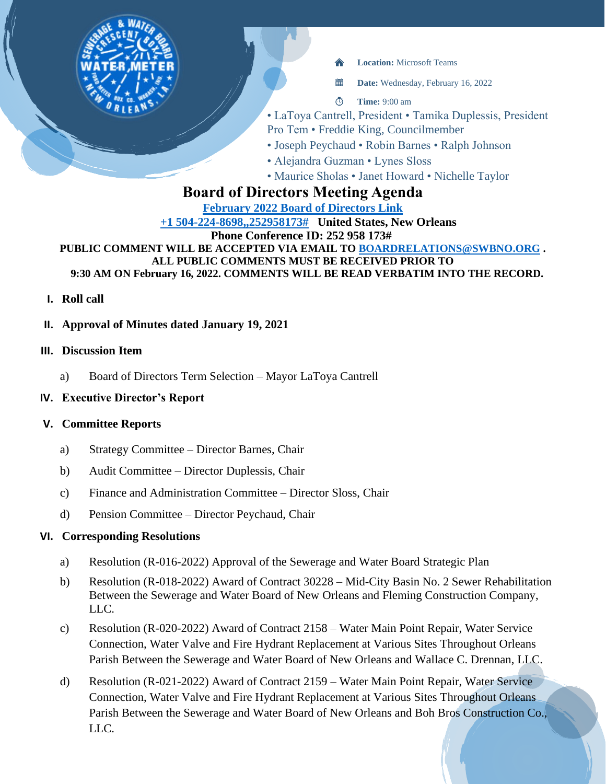

當 **Date:** Wednesday, February 16, 2022

- $\circ$ **Time:** 9:00 am
- LaToya Cantrell, President Tamika Duplessis, President
- Pro Tem Freddie King, Councilmember
- Joseph Peychaud Robin Barnes Ralph Johnson
- Alejandra Guzman Lynes Sloss
- Maurice Sholas Janet Howard Nichelle Taylor

# **Board of Directors Meeting Agenda**

#### **[February 2022 Board of Directors Link](https://teams.microsoft.com/l/meetup-join/19%3ameeting_YWFhZDc2YmMtYWY5Ny00MWRlLWEzZDQtNDYxMzU0Y2E2ZTFh%40thread.v2/0?context=%7b%22Tid%22%3a%22db706155-4aa7-4a5e-b348-b35c3136f6a7%22%2c%22Oid%22%3a%22fcca2b1f-7895-42f0-8972-2f2b78d70e78%22%7d) [+1 504-224-8698,,252958173#](tel:+15042248698,,252958173# ) United States, New Orleans Phone Conference ID: 252 958 173# PUBLIC COMMENT WILL BE ACCEPTED VIA EMAIL TO [BOARDRELATIONS@SWBNO.ORG](mailto:BOARDRELATIONS@SWBNO.ORG) . ALL PUBLIC COMMENTS MUST BE RECEIVED PRIOR TO 9:30 AM ON February 16, 2022. COMMENTS WILL BE READ VERBATIM INTO THE RECORD.**

- **I. Roll call**
- **II. Approval of Minutes dated January 19, 2021**

# **III. Discussion Item**

a) Board of Directors Term Selection – Mayor LaToya Cantrell

# **IV. Executive Director's Report**

# **V. Committee Reports**

- a) Strategy Committee Director Barnes, Chair
- b) Audit Committee Director Duplessis, Chair
- c) Finance and Administration Committee Director Sloss, Chair
- d) Pension Committee Director Peychaud, Chair

# **VI. Corresponding Resolutions**

- a) Resolution (R-016-2022) Approval of the Sewerage and Water Board Strategic Plan
- b) Resolution (R-018-2022) Award of Contract 30228 Mid-City Basin No. 2 Sewer Rehabilitation Between the Sewerage and Water Board of New Orleans and Fleming Construction Company, LLC.
- c) Resolution (R-020-2022) Award of Contract 2158 Water Main Point Repair, Water Service Connection, Water Valve and Fire Hydrant Replacement at Various Sites Throughout Orleans Parish Between the Sewerage and Water Board of New Orleans and Wallace C. Drennan, LLC.
- d) Resolution (R-021-2022) Award of Contract 2159 Water Main Point Repair, Water Service Connection, Water Valve and Fire Hydrant Replacement at Various Sites Throughout Orleans Parish Between the Sewerage and Water Board of New Orleans and Boh Bros Construction Co., LLC.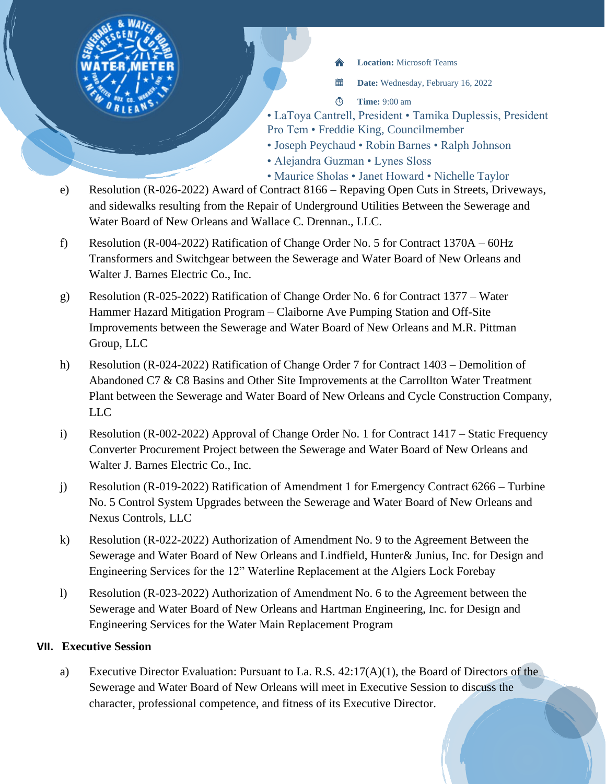

當 **Date:** Wednesday, February 16, 2022

- $\circ$ **Time:** 9:00 am
- LaToya Cantrell, President Tamika Duplessis, President Pro Tem • Freddie King, Councilmember
- Joseph Peychaud Robin Barnes Ralph Johnson
- Alejandra Guzman Lynes Sloss
- Maurice Sholas Janet Howard Nichelle Taylor
- e) Resolution (R-026-2022) Award of Contract 8166 Repaving Open Cuts in Streets, Driveways, and sidewalks resulting from the Repair of Underground Utilities Between the Sewerage and Water Board of New Orleans and Wallace C. Drennan., LLC.
- f) Resolution (R-004-2022) Ratification of Change Order No. 5 for Contract 1370A 60Hz Transformers and Switchgear between the Sewerage and Water Board of New Orleans and Walter J. Barnes Electric Co., Inc.
- g) Resolution (R-025-2022) Ratification of Change Order No. 6 for Contract 1377 Water Hammer Hazard Mitigation Program – Claiborne Ave Pumping Station and Off-Site Improvements between the Sewerage and Water Board of New Orleans and M.R. Pittman Group, LLC
- h) Resolution (R-024-2022) Ratification of Change Order 7 for Contract 1403 Demolition of Abandoned C7 & C8 Basins and Other Site Improvements at the Carrollton Water Treatment Plant between the Sewerage and Water Board of New Orleans and Cycle Construction Company, LLC
- i) Resolution (R-002-2022) Approval of Change Order No. 1 for Contract 1417 Static Frequency Converter Procurement Project between the Sewerage and Water Board of New Orleans and Walter J. Barnes Electric Co., Inc.
- j) Resolution (R-019-2022) Ratification of Amendment 1 for Emergency Contract 6266 Turbine No. 5 Control System Upgrades between the Sewerage and Water Board of New Orleans and Nexus Controls, LLC
- k) Resolution (R-022-2022) Authorization of Amendment No. 9 to the Agreement Between the Sewerage and Water Board of New Orleans and Lindfield, Hunter& Junius, Inc. for Design and Engineering Services for the 12" Waterline Replacement at the Algiers Lock Forebay
- l) Resolution (R-023-2022) Authorization of Amendment No. 6 to the Agreement between the Sewerage and Water Board of New Orleans and Hartman Engineering, Inc. for Design and Engineering Services for the Water Main Replacement Program

#### **VII. Executive Session**

a) Executive Director Evaluation: Pursuant to La. R.S. 42:17(A)(1), the Board of Directors of the Sewerage and Water Board of New Orleans will meet in Executive Session to discuss the character, professional competence, and fitness of its Executive Director.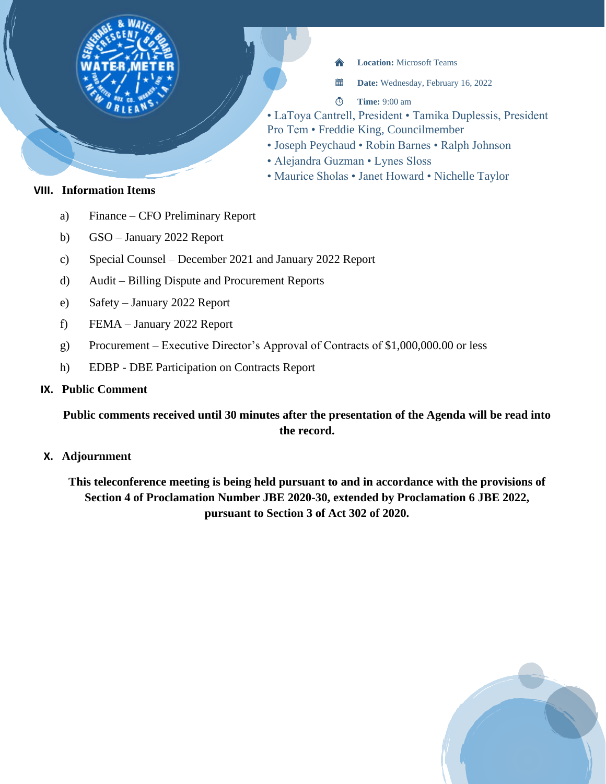

當 **Date:** Wednesday, February 16, 2022

- $\Phi$ **Time:** 9:00 am
- LaToya Cantrell, President Tamika Duplessis, President
- Pro Tem Freddie King, Councilmember
- Joseph Peychaud Robin Barnes Ralph Johnson
- Alejandra Guzman Lynes Sloss
- Maurice Sholas Janet Howard Nichelle Taylor

# **VIII. Information Items**

- a) Finance CFO Preliminary Report
- b) GSO January 2022 Report
- c) Special Counsel December 2021 and January 2022 Report
- d) Audit Billing Dispute and Procurement Reports
- e) Safety January 2022 Report
- f) FEMA January 2022 Report
- g) Procurement Executive Director's Approval of Contracts of \$1,000,000.00 or less
- h) EDBP DBE Participation on Contracts Report

#### **IX. Public Comment**

# **Public comments received until 30 minutes after the presentation of the Agenda will be read into the record.**

**X. Adjournment**

**This teleconference meeting is being held pursuant to and in accordance with the provisions of Section 4 of Proclamation Number JBE 2020-30, extended by Proclamation 6 JBE 2022, pursuant to Section 3 of Act 302 of 2020.**